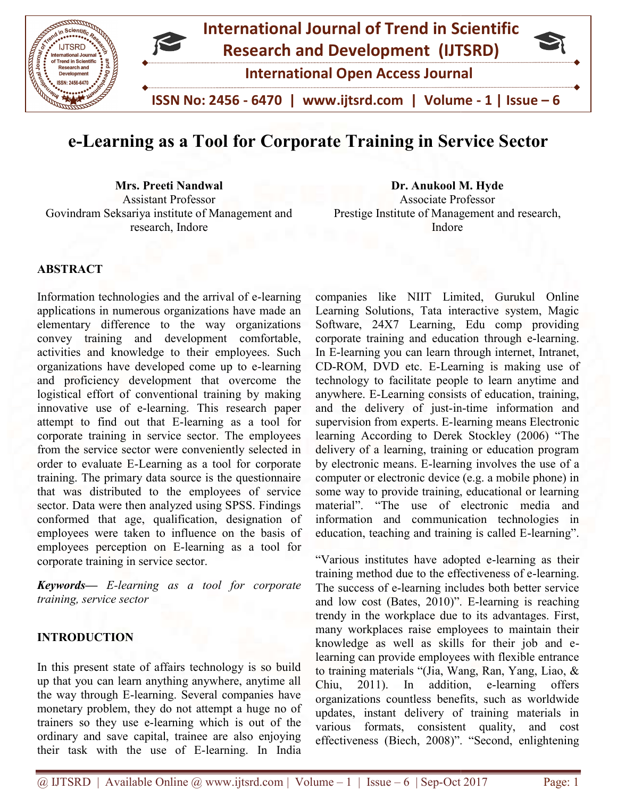

# e-Learning as a Tool for Corporate Training in Service Sector

Mrs. Preeti Nandwal Assistant Professor Mrs. Preeti Nandwal<br>
Assistant Professor<br>
Govindram Seksariya institute of Management and Prestige Institute of Management an research, Indore

Associate Professor Prestige Institute of Management and research, Indore Dr. Anukool M. Hyde ate Professor<br>Management<br>Indore

## ABSTRACT

Information technologies and the arrival of e-learning applications in numerous organizations have made an elementary difference to the way organizations convey training and development comfortable, activities and knowledge to their employees. Such organizations have developed come up to e and proficiency development that overcome the logistical effort of conventional training by making innovative use of e-learning. This research paper attempt to find out that E-learning as a tool for corporate training in service sector. The employees from the service sector were conveniently selected in order to evaluate E-Learning as a tool for corporate training. The primary data source is the questionnaire that was distributed to the employees of service sector. Data were then analyzed using SPSS. Findings conformed that age, qualification, designation of employees were taken to influence on the basis of employees perception on E-learning as a tool for corporate training in service sector. tions in numerous organizations have made an<br>tary difference to the way organizations<br>training and development comfortable,<br>es and knowledge to their employees. Such<br>ations have developed come up to e-learning proficiency development that overcome the<br>cal effort of conventional training by making<br>ative use of e-learning. This research paper<br>to the service sector were corporeintly selected in<br>the service sector were conveniently

Keywords— E-learning as a tool for corporate training, service sector

#### INTRODUCTION

In this present state of affairs technology is so build up that you can learn anything anywhere, anytime all the way through E-learning. Several companies have monetary problem, they do not attempt a huge no of trainers so they use e-learning which is out ordinary and save capital, trainee are also enjoying their task with the use of E-learning. In India

Irrival of e-learning companies like NIIT Limited, Gurukul Online<br>trois have made an Learning Solutions, Tata interactive system, Magic<br>room providing<br>ment comfortable, comporate training and calucation furough e-learning<br> Learning Solutions, Tata interactive system, Magic Software, 24X7 Learning, Edu comp providing corporate training and education through e-learning. In E-learning you can learn through internet, Intranet, CD-ROM, DVD etc. E-Learning is making use of technology to facilitate people to learn anytime and anywhere. E-Learning consists of education, training, and the delivery of just-in-time information and supervision from experts. E-learning means Electronic supervision from experts. E-learning means Electronic<br>learning According to Derek Stockley (2006) "The delivery of a learning, training or education program delivery of a learning, training or education program<br>by electronic means. E-learning involves the use of a computer or electronic device (e.g. a mobile phone) in some way to provide training, educational or learning material". "The use of electronic media and information and communication technologies in education, teaching and training is called E-learning". anies like NIIT Limited, Gurukul Online<br>ing Solutions, Tata interactive system, Magic<br>vare, 24X7 Learning, Edu comp providing<br>rate training and education through e-learning. learning you can learn through internet, Intranet, COM, DVD etc. E-Learning is making use of ology to facilitate people to learn anytime and there. E-Learning consists of education, training, the delivery of just-in-time i er or electronic device (e.g. a mobile phone) in<br>ay to provide training, educational or learning<br>". "The use of electronic media and<br>tion and communication technologies in<br>nn, teaching and training is called E-learning".

"Various institutes have adopted e-learning as their training method due to the effectiveness of e-learning. The success of e-learning includes both better service The success of e-learning includes both better service<br>and low cost (Bates, 2010)". E-learning is reaching trendy in the workplace due to its advantages. First, many workplaces raise employees to maintain their knowledge as well as skills for their job and elearning can provide employees with flexible entrance to training materials "(Jia, Wang, Ran, Yang, Liao, & Chiu, 2011). In addition, e-learning organizations countless benefits, such as worldwide updates, instant delivery of training materials in various formats, consistent quality, and cost updates, instant delivery of training materials in various formats, consistent quality, and cost effectiveness (Biech, 2008)". "Second, enlightening learning can provide employees with flexible entrance<br>to training materials "(Jia, Wang, Ran, Yang, Liao, &<br>Chiu, 2011). In addition, e-learning offers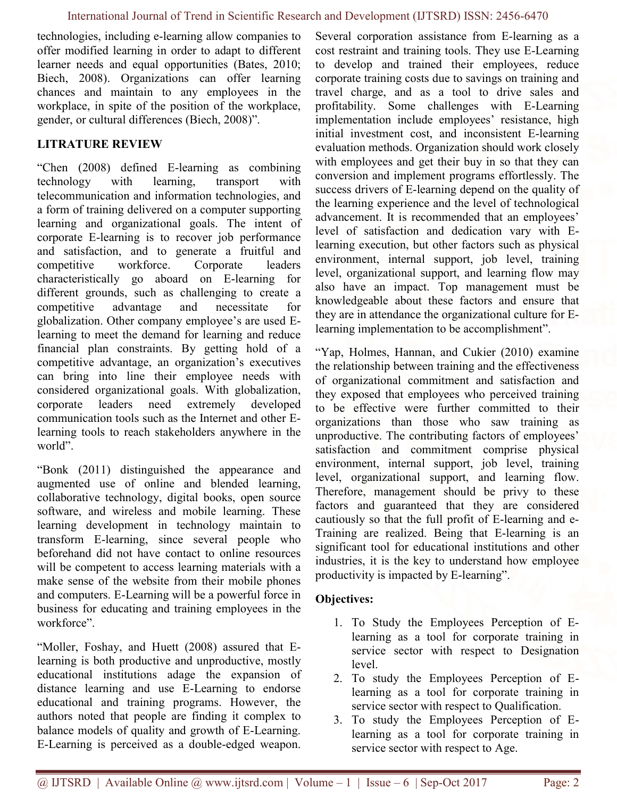technologies, including e-learning allow companies to offer modified learning in order to adapt to different learner needs and equal opportunities (Bates, 2010; Biech, 2008). Organizations can offer learning chances and maintain to any employees in the workplace, in spite of the position of the workplace, gender, or cultural differences (Biech, 2008)".

## LITRATURE REVIEW

"Chen (2008) defined E-learning as combining technology with learning, transport with telecommunication and information technologies, and a form of training delivered on a computer supporting learning and organizational goals. The intent of corporate E-learning is to recover job performance and satisfaction, and to generate a fruitful and competitive workforce. Corporate leaders characteristically go aboard on E-learning for different grounds, such as challenging to create a competitive advantage and necessitate for globalization. Other company employee's are used Elearning to meet the demand for learning and reduce financial plan constraints. By getting hold of a competitive advantage, an organization's executives can bring into line their employee needs with considered organizational goals. With globalization, corporate leaders need extremely developed communication tools such as the Internet and other Elearning tools to reach stakeholders anywhere in the world".

"Bonk (2011) distinguished the appearance and augmented use of online and blended learning, collaborative technology, digital books, open source software, and wireless and mobile learning. These learning development in technology maintain to transform E-learning, since several people who beforehand did not have contact to online resources will be competent to access learning materials with a make sense of the website from their mobile phones and computers. E-Learning will be a powerful force in business for educating and training employees in the workforce".

"Moller, Foshay, and Huett (2008) assured that Elearning is both productive and unproductive, mostly educational institutions adage the expansion of distance learning and use E-Learning to endorse educational and training programs. However, the authors noted that people are finding it complex to balance models of quality and growth of E-Learning. E-Learning is perceived as a double-edged weapon.

Several corporation assistance from E-learning as a cost restraint and training tools. They use E-Learning to develop and trained their employees, reduce corporate training costs due to savings on training and travel charge, and as a tool to drive sales and profitability. Some challenges with E-Learning implementation include employees' resistance, high initial investment cost, and inconsistent E-learning evaluation methods. Organization should work closely with employees and get their buy in so that they can conversion and implement programs effortlessly. The success drivers of E-learning depend on the quality of the learning experience and the level of technological advancement. It is recommended that an employees' level of satisfaction and dedication vary with Elearning execution, but other factors such as physical environment, internal support, job level, training level, organizational support, and learning flow may also have an impact. Top management must be knowledgeable about these factors and ensure that they are in attendance the organizational culture for Elearning implementation to be accomplishment".

"Yap, Holmes, Hannan, and Cukier (2010) examine the relationship between training and the effectiveness of organizational commitment and satisfaction and they exposed that employees who perceived training to be effective were further committed to their organizations than those who saw training as unproductive. The contributing factors of employees' satisfaction and commitment comprise physical environment, internal support, job level, training level, organizational support, and learning flow. Therefore, management should be privy to these factors and guaranteed that they are considered cautiously so that the full profit of E-learning and e-Training are realized. Being that E-learning is an significant tool for educational institutions and other industries, it is the key to understand how employee productivity is impacted by E-learning".

## Objectives:

- 1. To Study the Employees Perception of Elearning as a tool for corporate training in service sector with respect to Designation level.
- 2. To study the Employees Perception of Elearning as a tool for corporate training in service sector with respect to Qualification.
- 3. To study the Employees Perception of Elearning as a tool for corporate training in service sector with respect to Age.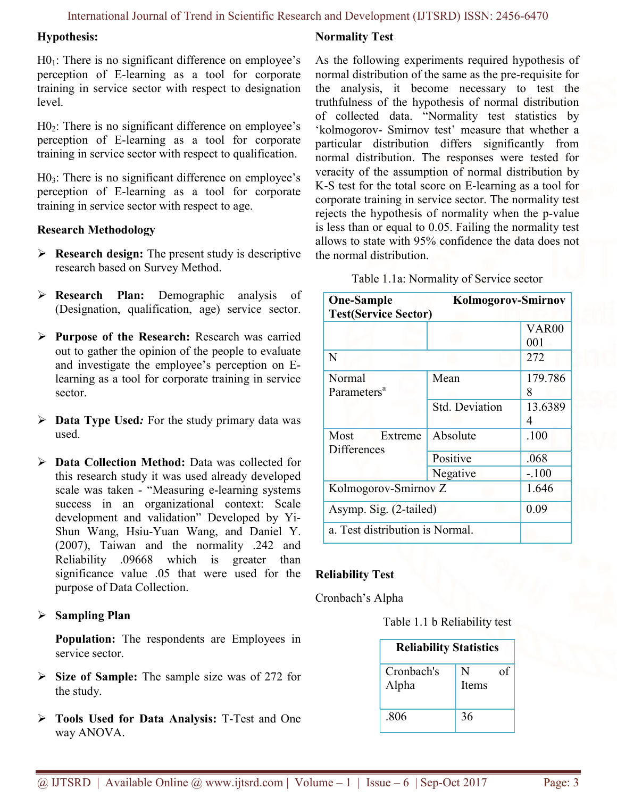#### Hypothesis:

 $H0<sub>1</sub>$ : There is no significant difference on employee's perception of E-learning as a tool for corporate training in service sector with respect to designation level.

 $H0<sub>2</sub>$ : There is no significant difference on employee's perception of E-learning as a tool for corporate training in service sector with respect to qualification.

 $H0<sub>3</sub>$ : There is no significant difference on employee's perception of E-learning as a tool for corporate training in service sector with respect to age.

#### Research Methodology

- $\triangleright$  **Research design:** The present study is descriptive research based on Survey Method.
- **Research Plan:** Demographic analysis of (Designation, qualification, age) service sector.
- $\triangleright$  Purpose of the Research: Research was carried out to gather the opinion of the people to evaluate and investigate the employee's perception on Elearning as a tool for corporate training in service sector.
- $\triangleright$  Data Type Used: For the study primary data was used.
- ▶ Data Collection Method: Data was collected for this research study it was used already developed scale was taken - "Measuring e-learning systems success in an organizational context: Scale development and validation" Developed by Yi-Shun Wang, Hsiu-Yuan Wang, and Daniel Y. (2007), Taiwan and the normality .242 and Reliability .09668 which is greater than significance value .05 that were used for the purpose of Data Collection.

#### $\triangleright$  Sampling Plan

Population: The respondents are Employees in service sector.

- $\triangleright$  Size of Sample: The sample size was of 272 for the study.
- Tools Used for Data Analysis: T-Test and One way ANOVA.

#### Normality Test

As the following experiments required hypothesis of normal distribution of the same as the pre-requisite for the analysis, it become necessary to test the truthfulness of the hypothesis of normal distribution of collected data. "Normality test statistics by 'kolmogorov- Smirnov test' measure that whether a particular distribution differs significantly from normal distribution. The responses were tested for veracity of the assumption of normal distribution by K-S test for the total score on E-learning as a tool for corporate training in service sector. The normality test rejects the hypothesis of normality when the p-value is less than or equal to 0.05. Failing the normality test allows to state with 95% confidence the data does not the normal distribution.

Table 1.1a: Normality of Service sector

| <b>One-Sample</b><br><b>Test(Service Sector)</b> | <b>Kolmogorov-Smirnov</b> |              |  |
|--------------------------------------------------|---------------------------|--------------|--|
|                                                  |                           | <b>VAR00</b> |  |
|                                                  |                           | 001          |  |
| N                                                |                           | 272          |  |
| Normal                                           | Mean                      | 179.786      |  |
| Parameters <sup>a</sup>                          |                           | 8            |  |
|                                                  | <b>Std. Deviation</b>     | 13.6389      |  |
|                                                  |                           | 4            |  |
| Most<br>Extreme<br><b>Differences</b>            | Absolute                  | .100         |  |
|                                                  | Positive                  | .068         |  |
|                                                  | Negative                  | $-.100$      |  |
| Kolmogorov-Smirnov Z                             | 1.646                     |              |  |
| Asymp. Sig. (2-tailed)                           | 0.09                      |              |  |
| a. Test distribution is Normal.                  |                           |              |  |

#### Reliability Test

Cronbach's Alpha

Table 1.1 b Reliability test

| <b>Reliability Statistics</b> |                  |  |  |  |
|-------------------------------|------------------|--|--|--|
| Cronbach's<br>Alpha           | N<br>of<br>Items |  |  |  |
| .806                          | 36               |  |  |  |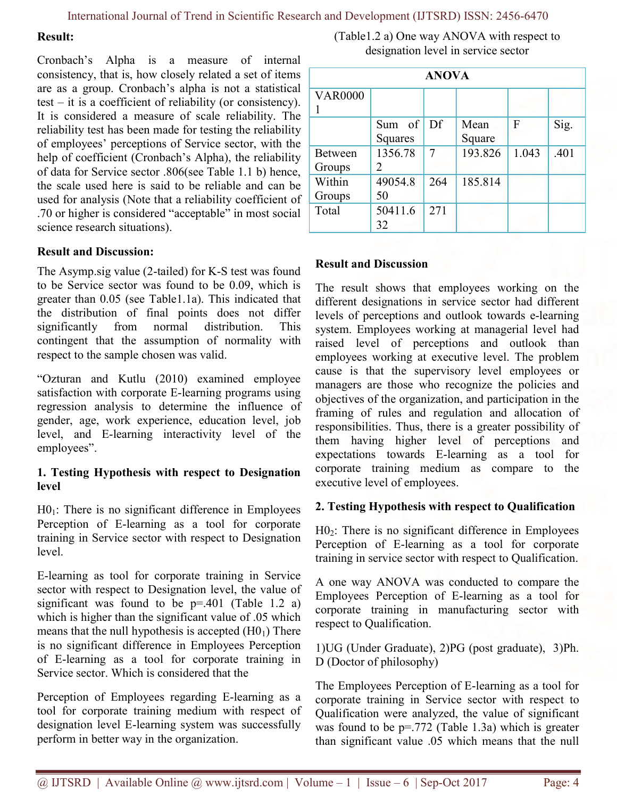#### Result:

Cronbach's Alpha is a measure of internal consistency, that is, how closely related a set of items are as a group. Cronbach's alpha is not a statistical test – it is a coefficient of reliability (or consistency). It is considered a measure of scale reliability. The reliability test has been made for testing the reliability of employees' perceptions of Service sector, with the help of coefficient (Cronbach's Alpha), the reliability of data for Service sector .806(see Table 1.1 b) hence, the scale used here is said to be reliable and can be used for analysis (Note that a reliability coefficient of .70 or higher is considered "acceptable" in most social science research situations).

#### Result and Discussion:

The Asymp.sig value (2-tailed) for K-S test was found to be Service sector was found to be 0.09, which is greater than 0.05 (see Table1.1a). This indicated that the distribution of final points does not differ significantly from normal distribution. This contingent that the assumption of normality with respect to the sample chosen was valid.

"Ozturan and Kutlu (2010) examined employee satisfaction with corporate E-learning programs using regression analysis to determine the influence of gender, age, work experience, education level, job level, and E-learning interactivity level of the employees".

#### 1. Testing Hypothesis with respect to Designation level

 $H0<sub>1</sub>$ : There is no significant difference in Employees Perception of E-learning as a tool for corporate training in Service sector with respect to Designation level.

E-learning as tool for corporate training in Service sector with respect to Designation level, the value of significant was found to be  $p=.401$  (Table 1.2 a) which is higher than the significant value of  $.05$  which means that the null hypothesis is accepted  $(H0<sub>1</sub>)$  There is no significant difference in Employees Perception of E-learning as a tool for corporate training in Service sector. Which is considered that the

Perception of Employees regarding E-learning as a tool for corporate training medium with respect of designation level E-learning system was successfully perform in better way in the organization.

(Table1.2 a) One way ANOVA with respect to designation level in service sector

| <b>ANOVA</b>   |                |     |         |       |      |
|----------------|----------------|-----|---------|-------|------|
| <b>VAR0000</b> |                |     |         |       |      |
|                |                |     |         |       |      |
|                | Sum of         | Df  | Mean    | F     | Sig. |
|                | Squares        |     | Square  |       |      |
| Between        | 1356.78        | 7   | 193.826 | 1.043 | .401 |
| Groups         | $\mathfrak{D}$ |     |         |       |      |
| Within         | 49054.8        | 264 | 185.814 |       |      |
| Groups         | 50             |     |         |       |      |
| Total          | 50411.6        | 271 |         |       |      |
|                | 32             |     |         |       |      |

#### Result and Discussion

The result shows that employees working on the different designations in service sector had different levels of perceptions and outlook towards e-learning system. Employees working at managerial level had raised level of perceptions and outlook than employees working at executive level. The problem cause is that the supervisory level employees or managers are those who recognize the policies and objectives of the organization, and participation in the framing of rules and regulation and allocation of responsibilities. Thus, there is a greater possibility of them having higher level of perceptions and expectations towards E-learning as a tool for corporate training medium as compare to the executive level of employees.

#### 2. Testing Hypothesis with respect to Qualification

 $H0<sub>2</sub>$ : There is no significant difference in Employees Perception of E-learning as a tool for corporate training in service sector with respect to Qualification.

A one way ANOVA was conducted to compare the Employees Perception of E-learning as a tool for corporate training in manufacturing sector with respect to Qualification.

1)UG (Under Graduate), 2)PG (post graduate), 3)Ph. D (Doctor of philosophy)

The Employees Perception of E-learning as a tool for corporate training in Service sector with respect to Qualification were analyzed, the value of significant was found to be  $p=.772$  (Table 1.3a) which is greater than significant value .05 which means that the null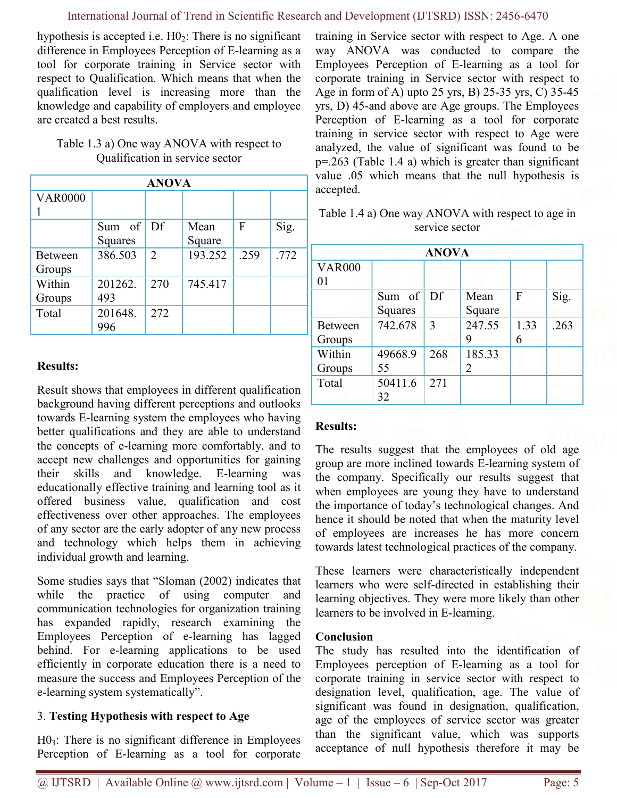hypothesis is accepted i.e.  $H0<sub>2</sub>$ : There is no significant difference in Employees Perception of E-learning as a tool for corporate training in Service sector with respect to Qualification. Which means that when the qualification level is increasing more than the knowledge and capability of employers and employee are created a best results.

| Table 1.3 a) One way ANOVA with respect to |
|--------------------------------------------|
| Qualification in service sector            |

| <b>ANOVA</b>   |         |                             |         |      |      |
|----------------|---------|-----------------------------|---------|------|------|
| <b>VAR0000</b> |         |                             |         |      |      |
|                |         |                             |         |      |      |
|                | Sum of  | Df                          | Mean    | F    | Sig. |
|                | Squares |                             | Square  |      |      |
| Between        | 386.503 | $\mathcal{D}_{\mathcal{L}}$ | 193.252 | .259 | .772 |
| Groups         |         |                             |         |      |      |
| Within         | 201262. | 270                         | 745.417 |      |      |
| Groups         | 493     |                             |         |      |      |
| Total          | 201648. | 272                         |         |      |      |
|                | 996     |                             |         |      |      |

### Results:

Result shows that employees in different qualification background having different perceptions and outlooks towards E-learning system the employees who having better qualifications and they are able to understand the concepts of e-learning more comfortably, and to accept new challenges and opportunities for gaining their skills and knowledge. E-learning was educationally effective training and learning tool as it offered business value, qualification and cost effectiveness over other approaches. The employees of any sector are the early adopter of any new process and technology which helps them in achieving individual growth and learning.

Some studies says that "Sloman (2002) indicates that while the practice of using computer and communication technologies for organization training has expanded rapidly, research examining the Employees Perception of e-learning has lagged behind. For e-learning applications to be used efficiently in corporate education there is a need to measure the success and Employees Perception of the e-learning system systematically".

## 3. Testing Hypothesis with respect to Age

 $H0<sub>3</sub>$ : There is no significant difference in Employees Perception of E-learning as a tool for corporate training in Service sector with respect to Age. A one way ANOVA was conducted to compare the Employees Perception of E-learning as a tool for corporate training in Service sector with respect to Age in form of A) upto 25 yrs, B) 25-35 yrs, C) 35-45 yrs, D) 45-and above are Age groups. The Employees Perception of E-learning as a tool for corporate training in service sector with respect to Age were analyzed, the value of significant was found to be p=.263 (Table 1.4 a) which is greater than significant value .05 which means that the null hypothesis is accepted.

Table 1.4 a) One way ANOVA with respect to age in service sector

| <b>ANOVA</b>   |         |     |                             |      |      |
|----------------|---------|-----|-----------------------------|------|------|
| <b>VAR000</b>  |         |     |                             |      |      |
| 01             |         |     |                             |      |      |
|                | Sum of  | Df  | Mean                        | F    | Sig. |
|                | Squares |     | Square                      |      |      |
| <b>Between</b> | 742.678 | 3   | 247.55                      | 1.33 | .263 |
| Groups         |         |     | 9                           | 6    |      |
| Within         | 49668.9 | 268 | 185.33                      |      |      |
| Groups         | 55      |     | $\mathcal{D}_{\mathcal{L}}$ |      |      |
| Total          | 50411.6 | 271 |                             |      |      |
|                | 32      |     |                             |      |      |

#### Results:

The results suggest that the employees of old age group are more inclined towards E-learning system of the company. Specifically our results suggest that when employees are young they have to understand the importance of today's technological changes. And hence it should be noted that when the maturity level of employees are increases he has more concern towards latest technological practices of the company.

These learners were characteristically independent learners who were self-directed in establishing their learning objectives. They were more likely than other learners to be involved in E-learning.

#### Conclusion

The study has resulted into the identification of Employees perception of E-learning as a tool for corporate training in service sector with respect to designation level, qualification, age. The value of significant was found in designation, qualification, age of the employees of service sector was greater than the significant value, which was supports acceptance of null hypothesis therefore it may be